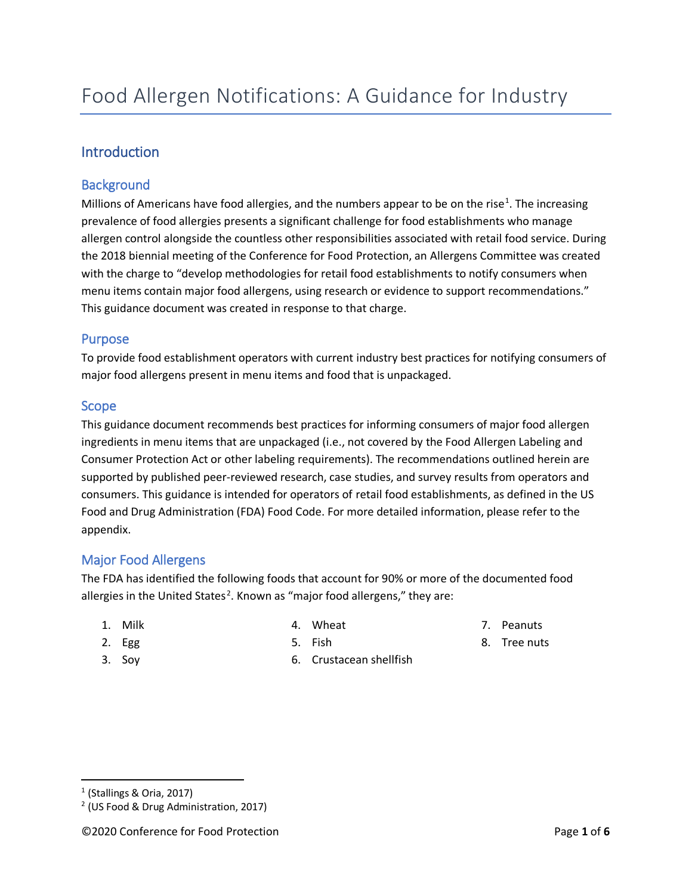# Introduction

## **Background**

Millions of Americans have food allergies, and the numbers appear to be on the rise<sup>[1](#page-0-0)</sup>. The increasing prevalence of food allergies presents a significant challenge for food establishments who manage allergen control alongside the countless other responsibilities associated with retail food service. During the 2018 biennial meeting of the Conference for Food Protection, an Allergens Committee was created with the charge to "develop methodologies for retail food establishments to notify consumers when menu items contain major food allergens, using research or evidence to support recommendations." This guidance document was created in response to that charge.

### Purpose

To provide food establishment operators with current industry best practices for notifying consumers of major food allergens present in menu items and food that is unpackaged.

### Scope

This guidance document recommends best practices for informing consumers of major food allergen ingredients in menu items that are unpackaged (i.e., not covered by the Food Allergen Labeling and Consumer Protection Act or other labeling requirements). The recommendations outlined herein are supported by published peer-reviewed research, case studies, and survey results from operators and consumers. This guidance is intended for operators of retail food establishments, as defined in the US Food and Drug Administration (FDA) Food Code. For more detailed information, please refer to the appendix.

## Major Food Allergens

The FDA has identified the following foods that account for 90% or more of the documented food allergies in the United States<sup>[2](#page-0-1)</sup>. Known as "major food allergens," they are:

1. Milk

4. Wheat

7. Peanuts

2. Egg

5. Fish

8. Tree nuts

3. Soy

6. Crustacean shellfish

<span id="page-0-0"></span><sup>1</sup> (Stallings & Oria, 2017)

<span id="page-0-1"></span><sup>2</sup> (US Food & Drug Administration, 2017)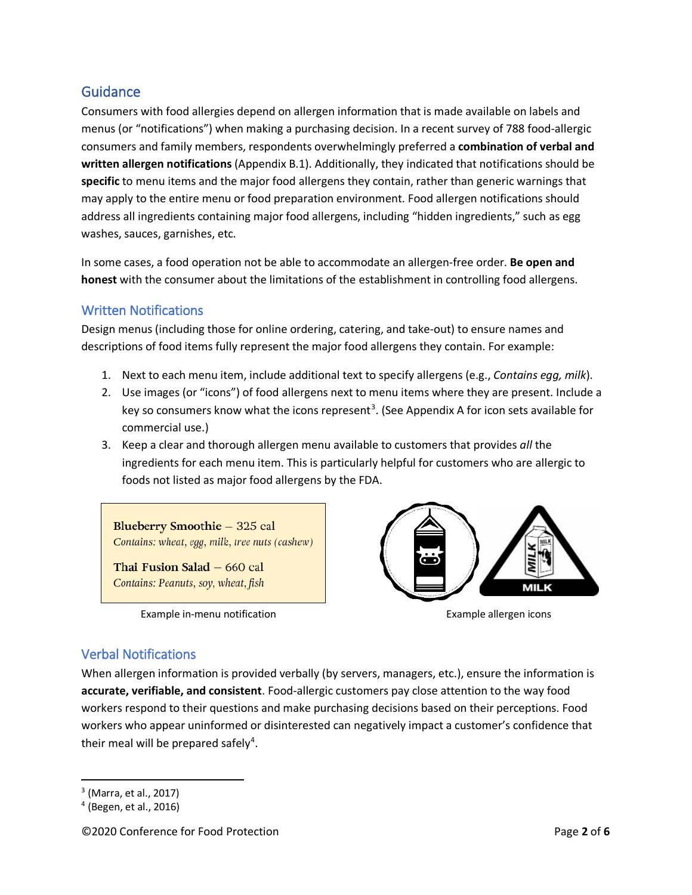## **Guidance**

Consumers with food allergies depend on allergen information that is made available on labels and menus (or "notifications") when making a purchasing decision. In a recent survey of 788 food-allergic consumers and family members, respondents overwhelmingly preferred a **combination of verbal and written allergen notifications** (Appendix B.1). Additionally, they indicated that notifications should be **specific** to menu items and the major food allergens they contain, rather than generic warnings that may apply to the entire menu or food preparation environment. Food allergen notifications should address all ingredients containing major food allergens, including "hidden ingredients," such as egg washes, sauces, garnishes, etc.

In some cases, a food operation not be able to accommodate an allergen-free order. **Be open and honest** with the consumer about the limitations of the establishment in controlling food allergens.

### Written Notifications

Design menus (including those for online ordering, catering, and take-out) to ensure names and descriptions of food items fully represent the major food allergens they contain. For example:

- 1. Next to each menu item, include additional text to specify allergens (e.g., *Contains egg, milk*).
- 2. Use images (or "icons") of food allergens next to menu items where they are present. Include a key so consumers know what the icons represent<sup>[3](#page-1-0)</sup>. (See Appendix A for icon sets available for commercial use.)
- 3. Keep a clear and thorough allergen menu available to customers that provides *all* the ingredients for each menu item. This is particularly helpful for customers who are allergic to foods not listed as major food allergens by the FDA.

Blueberry Smoothie - 325 cal Contains: wheat, egg, milk, tree nuts (cashew)

Thai Fusion Salad - 660 cal Contains: Peanuts, soy, wheat, fish

Example in-menu notification example allergen icons



## Verbal Notifications

When allergen information is provided verbally (by servers, managers, etc.), ensure the information is **accurate, verifiable, and consistent**. Food-allergic customers pay close attention to the way food workers respond to their questions and make purchasing decisions based on their perceptions. Food workers who appear uninformed or disinterested can negatively impact a customer's confidence that their meal will be prepared safely<sup>[4](#page-1-1)</sup>.

<span id="page-1-0"></span><sup>3</sup> (Marra, et al., 2017)

<span id="page-1-1"></span><sup>4</sup> (Begen, et al., 2016)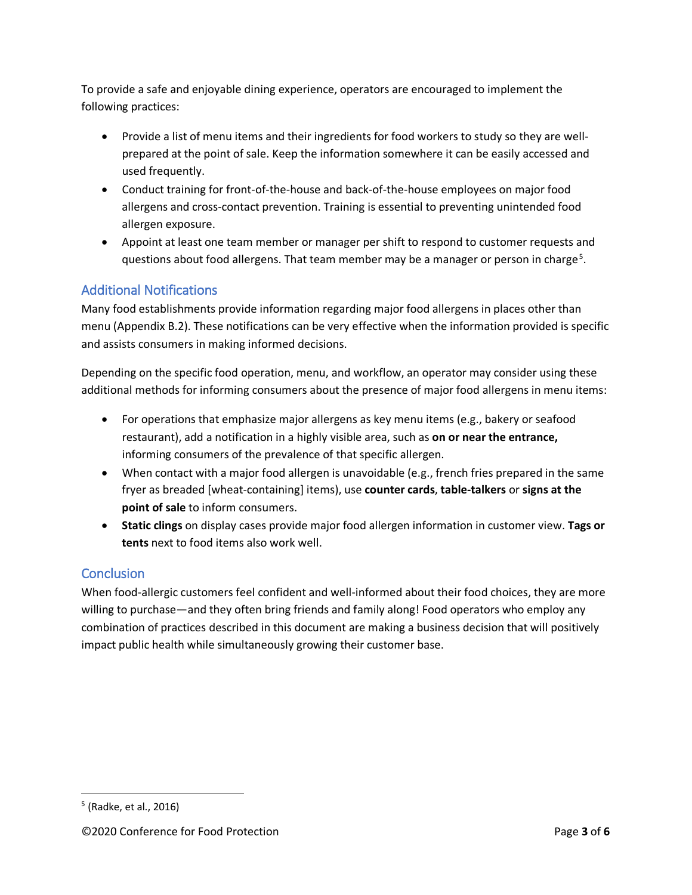To provide a safe and enjoyable dining experience, operators are encouraged to implement the following practices:

- Provide a list of menu items and their ingredients for food workers to study so they are wellprepared at the point of sale. Keep the information somewhere it can be easily accessed and used frequently.
- Conduct training for front-of-the-house and back-of-the-house employees on major food allergens and cross-contact prevention. Training is essential to preventing unintended food allergen exposure.
- Appoint at least one team member or manager per shift to respond to customer requests and questions about food allergens. That team member may be a manager or person in charge<sup>[5](#page-2-0)</sup>.

# Additional Notifications

Many food establishments provide information regarding major food allergens in places other than menu (Appendix B.2). These notifications can be very effective when the information provided is specific and assists consumers in making informed decisions.

Depending on the specific food operation, menu, and workflow, an operator may consider using these additional methods for informing consumers about the presence of major food allergens in menu items:

- For operations that emphasize major allergens as key menu items (e.g., bakery or seafood restaurant), add a notification in a highly visible area, such as **on or near the entrance,** informing consumers of the prevalence of that specific allergen.
- When contact with a major food allergen is unavoidable (e.g., french fries prepared in the same fryer as breaded [wheat-containing] items), use **counter cards**, **table-talkers** or **signs at the point of sale** to inform consumers.
- **Static clings** on display cases provide major food allergen information in customer view. **Tags or tents** next to food items also work well.

## **Conclusion**

When food-allergic customers feel confident and well-informed about their food choices, they are more willing to purchase—and they often bring friends and family along! Food operators who employ any combination of practices described in this document are making a business decision that will positively impact public health while simultaneously growing their customer base.

<span id="page-2-0"></span><sup>5</sup> (Radke, et al., 2016)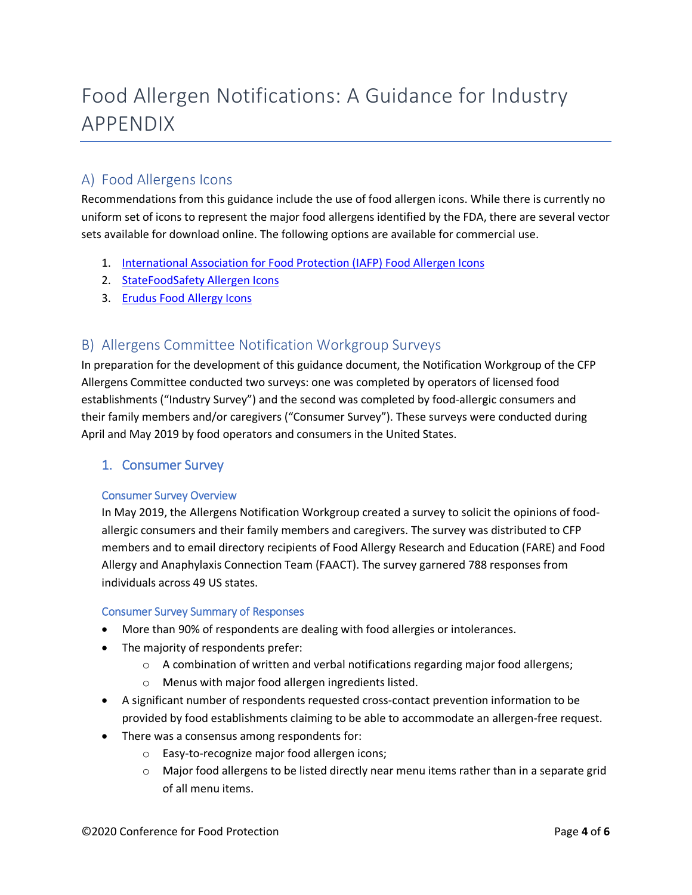# Food Allergen Notifications: A Guidance for Industry APPENDIX

# A) Food Allergens Icons

Recommendations from this guidance include the use of food allergen icons. While there is currently no uniform set of icons to represent the major food allergens identified by the FDA, there are several vector sets available for download online. The following options are available for commercial use.

- 1. [International Association for Food Protection \(IAFP\) Food Allergen Icons](https://www.foodprotection.org/resources/food-allergen-icons/)
- 2. [StateFoodSafety Allergen Icons](https://drive.google.com/drive/folders/1z_le5yxvWq5vFLnWnR7FelXZDQePhygl?usp=sharing)
- 3. [Erudus Food Allergy Icons](https://erudus.com/standardised-food-allergy-icons/)

# B) Allergens Committee Notification Workgroup Surveys

In preparation for the development of this guidance document, the Notification Workgroup of the CFP Allergens Committee conducted two surveys: one was completed by operators of licensed food establishments ("Industry Survey") and the second was completed by food-allergic consumers and their family members and/or caregivers ("Consumer Survey"). These surveys were conducted during April and May 2019 by food operators and consumers in the United States.

### 1. Consumer Survey

### Consumer Survey Overview

In May 2019, the Allergens Notification Workgroup created a survey to solicit the opinions of foodallergic consumers and their family members and caregivers. The survey was distributed to CFP members and to email directory recipients of Food Allergy Research and Education (FARE) and Food Allergy and Anaphylaxis Connection Team (FAACT). The survey garnered 788 responses from individuals across 49 US states.

### Consumer Survey Summary of Responses

- More than 90% of respondents are dealing with food allergies or intolerances.
- The majority of respondents prefer:
	- $\circ$  A combination of written and verbal notifications regarding major food allergens;
	- o Menus with major food allergen ingredients listed.
- A significant number of respondents requested cross-contact prevention information to be provided by food establishments claiming to be able to accommodate an allergen-free request.
- There was a consensus among respondents for:
	- o Easy-to-recognize major food allergen icons;
	- $\circ$  Major food allergens to be listed directly near menu items rather than in a separate grid of all menu items.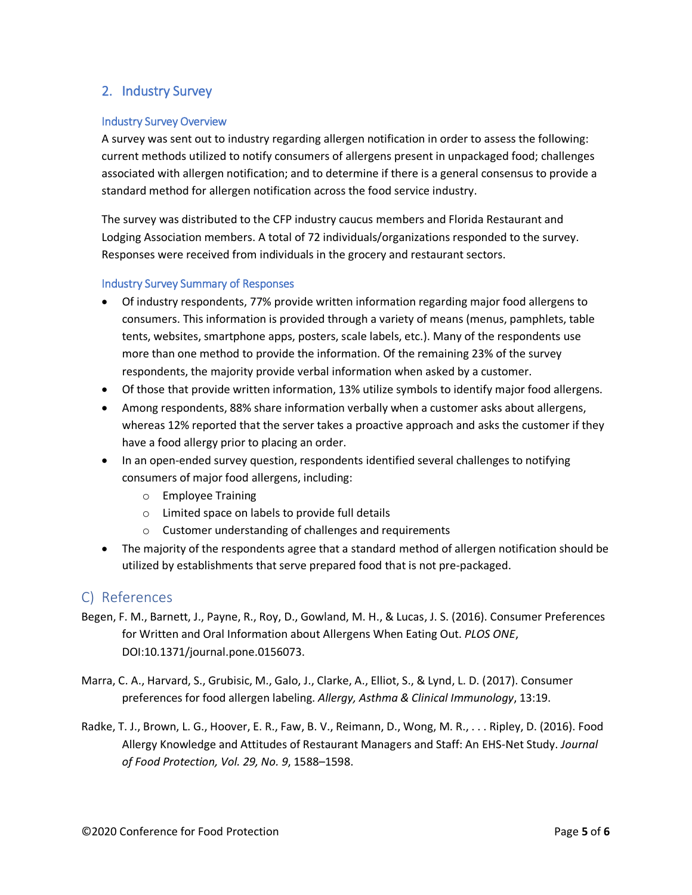## 2. Industry Survey

### Industry Survey Overview

A survey was sent out to industry regarding allergen notification in order to assess the following: current methods utilized to notify consumers of allergens present in unpackaged food; challenges associated with allergen notification; and to determine if there is a general consensus to provide a standard method for allergen notification across the food service industry.

The survey was distributed to the CFP industry caucus members and Florida Restaurant and Lodging Association members. A total of 72 individuals/organizations responded to the survey. Responses were received from individuals in the grocery and restaurant sectors.

#### Industry Survey Summary of Responses

- Of industry respondents, 77% provide written information regarding major food allergens to consumers. This information is provided through a variety of means (menus, pamphlets, table tents, websites, smartphone apps, posters, scale labels, etc.). Many of the respondents use more than one method to provide the information. Of the remaining 23% of the survey respondents, the majority provide verbal information when asked by a customer.
- Of those that provide written information, 13% utilize symbols to identify major food allergens.
- Among respondents, 88% share information verbally when a customer asks about allergens, whereas 12% reported that the server takes a proactive approach and asks the customer if they have a food allergy prior to placing an order.
- In an open-ended survey question, respondents identified several challenges to notifying consumers of major food allergens, including:
	- o Employee Training
	- o Limited space on labels to provide full details
	- o Customer understanding of challenges and requirements
- The majority of the respondents agree that a standard method of allergen notification should be utilized by establishments that serve prepared food that is not pre-packaged.

### C) References

- Begen, F. M., Barnett, J., Payne, R., Roy, D., Gowland, M. H., & Lucas, J. S. (2016). Consumer Preferences for Written and Oral Information about Allergens When Eating Out. *PLOS ONE*, DOI:10.1371/journal.pone.0156073.
- Marra, C. A., Harvard, S., Grubisic, M., Galo, J., Clarke, A., Elliot, S., & Lynd, L. D. (2017). Consumer preferences for food allergen labeling. *Allergy, Asthma & Clinical Immunology*, 13:19.
- Radke, T. J., Brown, L. G., Hoover, E. R., Faw, B. V., Reimann, D., Wong, M. R., . . . Ripley, D. (2016). Food Allergy Knowledge and Attitudes of Restaurant Managers and Staff: An EHS-Net Study. *Journal of Food Protection, Vol. 29, No. 9*, 1588–1598.